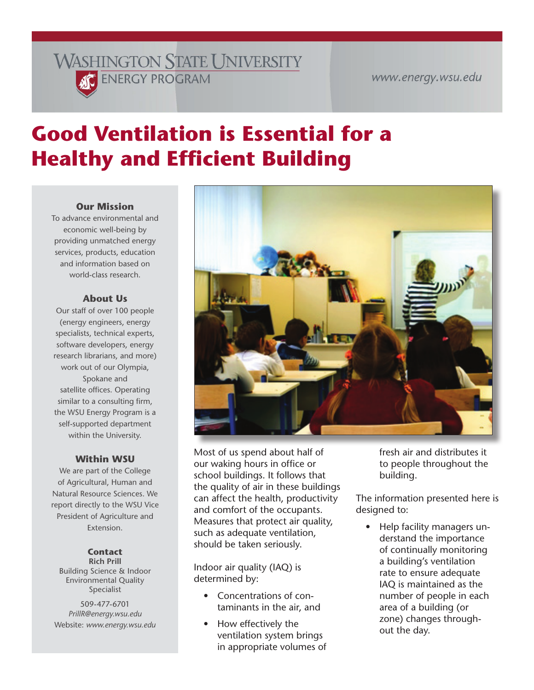# **WASHINGTON STATE UNIVERSITY KC** ENERGY PROGRAM

#### www.energy.wsu.edu

# **Good Ventilation is Essential for a Healthy and Efficient Building**

#### **Our Mission**

To advance environmental and economic well-being by providing unmatched energy services, products, education and information based on world-class research.

#### **About Us**

Our staff of over 100 people (energy engineers, energy specialists, technical experts, software developers, energy research librarians, and more) work out of our Olympia, Spokane and satellite offices. Operating similar to a consulting firm, the WSU Energy Program is a self-supported department within the University.

#### **Within WSU**

We are part of the College of Agricultural, Human and Natural Resource Sciences. We report directly to the WSU Vice President of Agriculture and Extension.

#### **Contact**

**Rich Prill** Building Science & Indoor Environmental Quality Specialist

509-477-6701 *PrillR@energy.wsu.edu* Website: *[www.energy.wsu.edu](http://www.energy.wsu.edu)*



Most of us spend about half of our waking hours in office or school buildings. It follows that the quality of air in these buildings can affect the health, productivity and comfort of the occupants. Measures that protect air quality, such as adequate ventilation, should be taken seriously.

Indoor air quality (IAQ) is determined by:

- Concentrations of contaminants in the air, and
- How effectively the ventilation system brings in appropriate volumes of

fresh air and distributes it to people throughout the building.

The information presented here is designed to:

• Help facility managers understand the importance of continually monitoring a building's ventilation rate to ensure adequate IAQ is maintained as the number of people in each area of a building (or zone) changes throughout the day.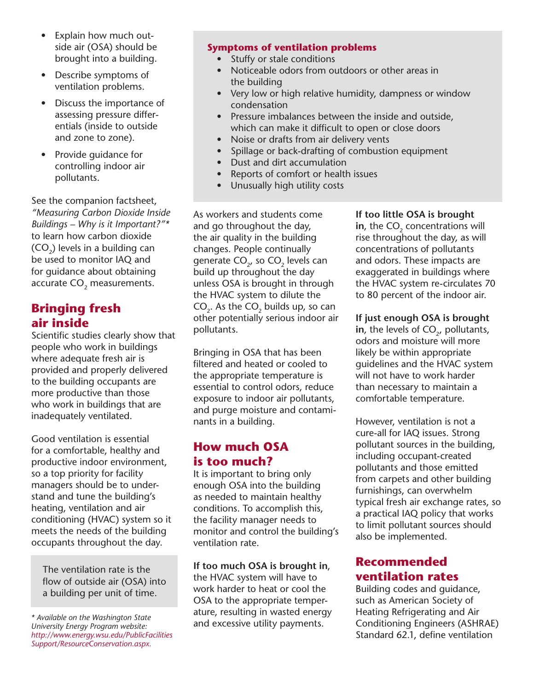- Explain how much outside air (OSA) should be brought into a building.
- Describe symptoms of ventilation problems.
- Discuss the importance of assessing pressure differentials (inside to outside and zone to zone).
- Provide guidance for controlling indoor air pollutants.

See the companion factsheet, *"Measuring Carbon Dioxide Inside Buildings – Why is it Important?"\** to learn how carbon dioxide (CO<sub>2</sub>) levels in a building can be used to monitor IAQ and for guidance about obtaining accurate CO<sub>2</sub> measurements.

# **Bringing fresh air inside**

Scientific studies clearly show that people who work in buildings where adequate fresh air is provided and properly delivered to the building occupants are more productive than those who work in buildings that are inadequately ventilated.

Good ventilation is essential for a comfortable, healthy and productive indoor environment, so a top priority for facility managers should be to understand and tune the building's heating, ventilation and air conditioning (HVAC) system so it meets the needs of the building occupants throughout the day.

The ventilation rate is the flow of outside air (OSA) into a building per unit of time.

#### **Symptoms of ventilation problems**

- Stuffy or stale conditions
- Noticeable odors from outdoors or other areas in the building
- Very low or high relative humidity, dampness or window condensation
- Pressure imbalances between the inside and outside, which can make it difficult to open or close doors
- Noise or drafts from air delivery vents
- Spillage or back-drafting of combustion equipment
- Dust and dirt accumulation
- Reports of comfort or health issues
- Unusually high utility costs

As workers and students come and go throughout the day, the air quality in the building changes. People continually generate  $CO<sub>2</sub>$ , so  $CO<sub>2</sub>$  levels can build up throughout the day unless OSA is brought in through the HVAC system to dilute the  $CO<sub>2</sub>$ . As the  $CO<sub>2</sub>$  builds up, so can other potentially serious indoor air pollutants.

Bringing in OSA that has been filtered and heated or cooled to the appropriate temperature is essential to control odors, reduce exposure to indoor air pollutants, and purge moisture and contaminants in a building.

# **How much OSA is too much?**

It is important to bring only enough OSA into the building as needed to maintain healthy conditions. To accomplish this, the facility manager needs to monitor and control the building's ventilation rate.

**If too much OSA is brought in**, the HVAC system will have to work harder to heat or cool the OSA to the appropriate temperature, resulting in wasted energy and excessive utility payments.

#### **If too little OSA is brought**

in, the CO<sub>2</sub> concentrations will rise throughout the day, as will concentrations of pollutants and odors. These impacts are exaggerated in buildings where the HVAC system re-circulates 70 to 80 percent of the indoor air.

#### **If just enough OSA is brought**

in, the levels of CO<sub>2</sub>, pollutants, odors and moisture will more likely be within appropriate guidelines and the HVAC system will not have to work harder than necessary to maintain a comfortable temperature.

However, ventilation is not a cure-all for IAQ issues. Strong pollutant sources in the building, including occupant-created pollutants and those emitted from carpets and other building furnishings, can overwhelm typical fresh air exchange rates, so a practical IAQ policy that works to limit pollutant sources should also be implemented.

## **Recommended ventilation rates**

Building codes and guidance, such as American Society of Heating Refrigerating and Air Conditioning Engineers (ASHRAE) Standard 62.1, define ventilation

*<sup>\*</sup> Available on the Washington State University Energy Program website: [http://www.energy.wsu.edu/PublicFacilities](http://www.energy.wsu.edu/PublicFacilitiesSupport/ResourceConservation.aspx) Support/ResourceConservation.aspx.*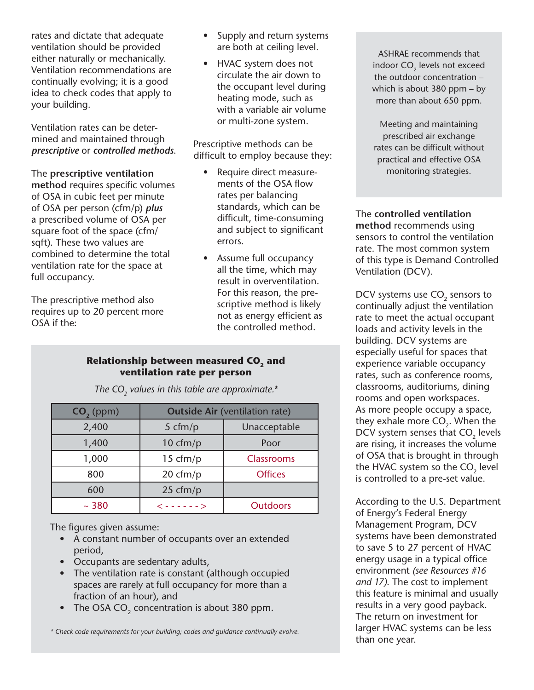rates and dictate that adequate ventilation should be provided either naturally or mechanically. Ventilation recommendations are continually evolving; it is a good idea to check codes that apply to your building.

Ventilation rates can be determined and maintained through *prescriptive* or *controlled methods*.

#### The **prescriptive ventilation**

**method** requires specific volumes of OSA in cubic feet per minute of OSA per person (cfm/p) *plus* a prescribed volume of OSA per square foot of the space (cfm/ sqft). These two values are combined to determine the total ventilation rate for the space at full occupancy.

The prescriptive method also requires up to 20 percent more OSA if the:

- Supply and return systems are both at ceiling level.
- HVAC system does not circulate the air down to the occupant level during heating mode, such as with a variable air volume or multi-zone system.

Prescriptive methods can be difficult to employ because they:

- Require direct measurements of the OSA flow rates per balancing standards, which can be difficult, time-consuming and subject to significant errors.
- Assume full occupancy all the time, which may result in overventilation. For this reason, the prescriptive method is likely not as energy efficient as the controlled method.

#### **Relationship between measured CO<sub>2</sub> and ventilation rate per person**

| $CO2$ (ppm) | <b>Outside Air (ventilation rate)</b> |                   |
|-------------|---------------------------------------|-------------------|
| 2,400       | 5 cfm/p                               | Unacceptable      |
| 1,400       | $10 \text{ cfm}/p$                    | Poor              |
| 1,000       | 15 cfm/p                              | <b>Classrooms</b> |
| 800         | $20 \text{ cfm/p}$                    | <b>Offices</b>    |
| 600         | $25 \text{ cfm/p}$                    |                   |
| ~1280       | $\langle$ ------>                     | <b>Outdoors</b>   |

The CO<sub>2</sub> values in this table are approximate.\*

The figures given assume:

- A constant number of occupants over an extended period,
- Occupants are sedentary adults,
- The ventilation rate is constant (although occupied spaces are rarely at full occupancy for more than a fraction of an hour), and
- The OSA CO<sub>2</sub> concentration is about 380 ppm.

*\* Check code requirements for your building; codes and guidance continually evolve.*

ASHRAE recommends that indoor CO<sub>2</sub> levels not exceed the outdoor concentration – which is about 380 ppm – by more than about 650 ppm.

Meeting and maintaining prescribed air exchange rates can be difficult without practical and effective OSA monitoring strategies.

The **controlled ventilation method** recommends using sensors to control the ventilation rate. The most common system of this type is Demand Controlled Ventilation (DCV).

DCV systems use CO<sub>2</sub> sensors to continually adjust the ventilation rate to meet the actual occupant loads and activity levels in the building. DCV systems are especially useful for spaces that experience variable occupancy rates, such as conference rooms, classrooms, auditoriums, dining rooms and open workspaces. As more people occupy a space, they exhale more  $CO<sub>2</sub>$ . When the DCV system senses that CO<sub>2</sub> levels are rising, it increases the volume of OSA that is brought in through the HVAC system so the  $CO<sub>2</sub>$  level is controlled to a pre-set value.

According to the U.S. Department of Energy's Federal Energy Management Program, DCV systems have been demonstrated to save 5 to 27 percent of HVAC energy usage in a typical office environment *(see Resources #16 and 17)*. The cost to implement this feature is minimal and usually results in a very good payback. The return on investment for larger HVAC systems can be less than one year.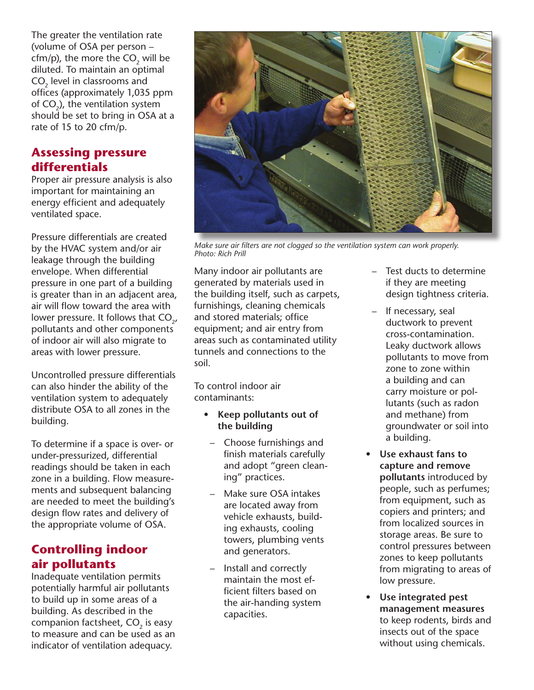The greater the ventilation rate (volume of OSA per person – cfm/p), the more the  $CO<sub>2</sub>$  will be diluted. To maintain an optimal CO<sub>2</sub> level in classrooms and offices (approximately 1,035 ppm of  $CO<sub>3</sub>$ ), the ventilation system should be set to bring in OSA at a rate of 15 to 20 cfm/p.

# **Assessing pressure differentials**

Proper air pressure analysis is also important for maintaining an energy efficient and adequately ventilated space.

Pressure differentials are created by the HVAC system and/or air leakage through the building envelope. When differential pressure in one part of a building is greater than in an adjacent area, air will flow toward the area with lower pressure. It follows that  $CO<sub>2</sub>$ , pollutants and other components of indoor air will also migrate to areas with lower pressure.

Uncontrolled pressure differentials can also hinder the ability of the ventilation system to adequately distribute OSA to all zones in the building.

To determine if a space is over- or under-pressurized, differential readings should be taken in each zone in a building. Flow measurements and subsequent balancing are needed to meet the building's design flow rates and delivery of the appropriate volume of OSA.

# **Controlling indoor air pollutants**

Inadequate ventilation permits potentially harmful air pollutants to build up in some areas of a building. As described in the companion factsheet, CO<sub>2</sub> is easy to measure and can be used as an indicator of ventilation adequacy.



*Make sure air filters are not clogged so the ventilation system can work properly. Photo: Rich Prill*

Many indoor air pollutants are generated by materials used in the building itself, such as carpets, furnishings, cleaning chemicals and stored materials; office equipment; and air entry from areas such as contaminated utility tunnels and connections to the soil.

To control indoor air contaminants:

- **• Keep pollutants out of the building** 
	- Choose furnishings and finish materials carefully and adopt "green cleaning" practices.
- Make sure OSA intakes are located away from vehicle exhausts, building exhausts, cooling towers, plumbing vents and generators.
- Install and correctly maintain the most efficient filters based on the air-handing system capacities.
- Test ducts to determine if they are meeting design tightness criteria.
- If necessary, seal ductwork to prevent cross-contamination. Leaky ductwork allows pollutants to move from zone to zone within a building and can carry moisture or pollutants (such as radon and methane) from groundwater or soil into a building.
- **Use exhaust fans to capture and remove pollutants** introduced by people, such as perfumes; from equipment, such as copiers and printers; and from localized sources in storage areas. Be sure to control pressures between zones to keep pollutants from migrating to areas of low pressure.
- **Use integrated pest management measures** to keep rodents, birds and insects out of the space without using chemicals.